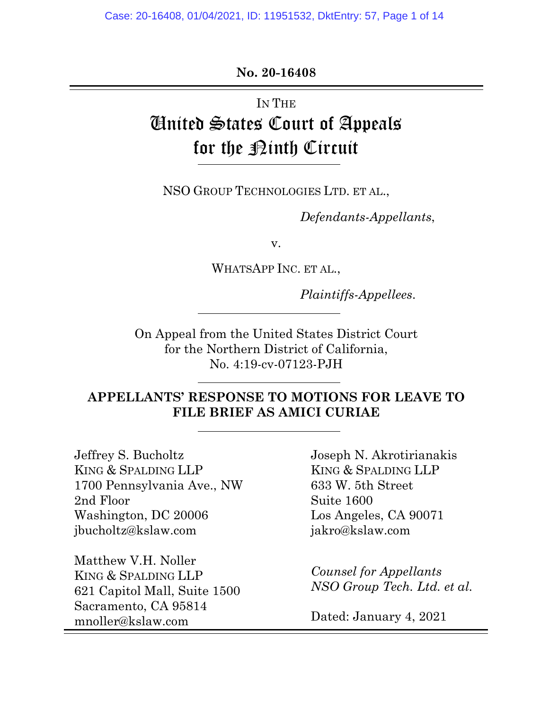#### **No. 20-16408**

# IN THE United States Court of Appeals for the <u>Pinth</u> Circuit

NSO GROUP TECHNOLOGIES LTD. ET AL.,

*Defendants-Appellants*,

v.

WHATSAPP INC. ET AL.,

*Plaintiffs-Appellees*.

On Appeal from the United States District Court for the Northern District of California, No. 4:19-cv-07123-PJH

## **APPELLANTS' RESPONSE TO MOTIONS FOR LEAVE TO FILE BRIEF AS AMICI CURIAE**

Jeffrey S. Bucholtz KING & SPALDING LLP 1700 Pennsylvania Ave., NW 2nd Floor Washington, DC 20006 jbucholtz@kslaw.com

Matthew V.H. Noller KING & SPALDING LLP 621 Capitol Mall, Suite 1500 Sacramento, CA 95814 mnoller@kslaw.com

Joseph N. Akrotirianakis KING & SPALDING LLP 633 W. 5th Street Suite 1600 Los Angeles, CA 90071 jakro@kslaw.com

*Counsel for Appellants NSO Group Tech. Ltd. et al.*

Dated: January 4, 2021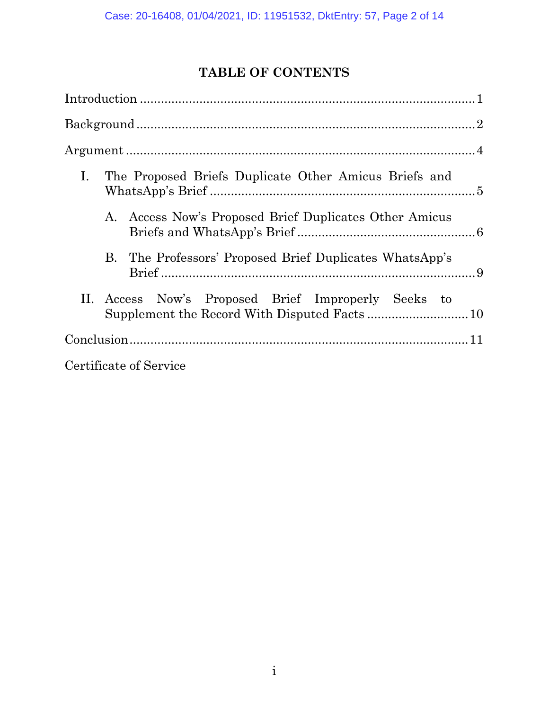## **TABLE OF CONTENTS**

| Ι.<br>The Proposed Briefs Duplicate Other Amicus Briefs and |  |
|-------------------------------------------------------------|--|
| A. Access Now's Proposed Brief Duplicates Other Amicus      |  |
| B. The Professors' Proposed Brief Duplicates WhatsApp's     |  |
| II. Access Now's Proposed Brief Improperly Seeks to         |  |
|                                                             |  |
| Certificate of Service                                      |  |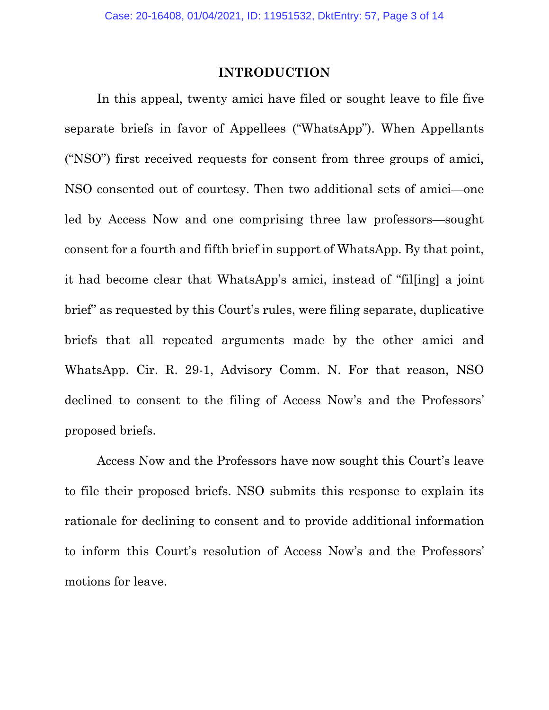#### **INTRODUCTION**

<span id="page-2-0"></span>In this appeal, twenty amici have filed or sought leave to file five separate briefs in favor of Appellees ("WhatsApp"). When Appellants ("NSO") first received requests for consent from three groups of amici, NSO consented out of courtesy. Then two additional sets of amici—one led by Access Now and one comprising three law professors—sought consent for a fourth and fifth brief in support of WhatsApp. By that point, it had become clear that WhatsApp's amici, instead of "fil[ing] a joint brief" as requested by this Court's rules, were filing separate, duplicative briefs that all repeated arguments made by the other amici and WhatsApp. Cir. R. 29-1, Advisory Comm. N. For that reason, NSO declined to consent to the filing of Access Now's and the Professors' proposed briefs.

Access Now and the Professors have now sought this Court's leave to file their proposed briefs. NSO submits this response to explain its rationale for declining to consent and to provide additional information to inform this Court's resolution of Access Now's and the Professors' motions for leave.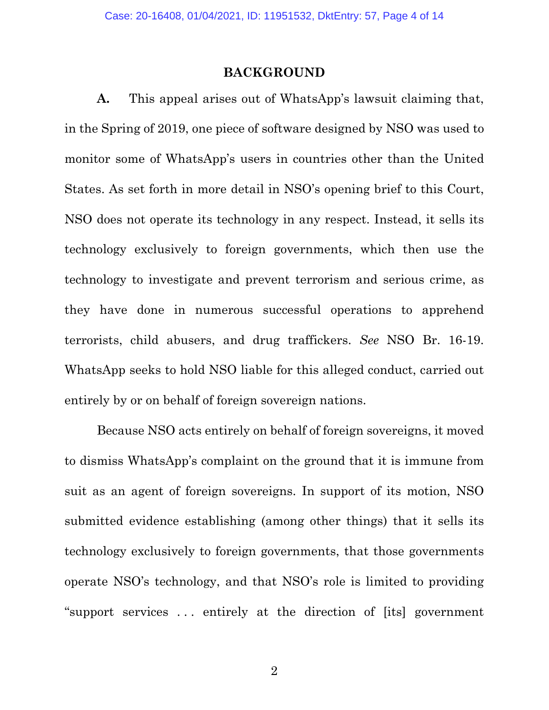#### **BACKGROUND**

<span id="page-3-0"></span>**A.** This appeal arises out of WhatsApp's lawsuit claiming that, in the Spring of 2019, one piece of software designed by NSO was used to monitor some of WhatsApp's users in countries other than the United States. As set forth in more detail in NSO's opening brief to this Court, NSO does not operate its technology in any respect. Instead, it sells its technology exclusively to foreign governments, which then use the technology to investigate and prevent terrorism and serious crime, as they have done in numerous successful operations to apprehend terrorists, child abusers, and drug traffickers. *See* NSO Br. 16-19. WhatsApp seeks to hold NSO liable for this alleged conduct, carried out entirely by or on behalf of foreign sovereign nations.

Because NSO acts entirely on behalf of foreign sovereigns, it moved to dismiss WhatsApp's complaint on the ground that it is immune from suit as an agent of foreign sovereigns. In support of its motion, NSO submitted evidence establishing (among other things) that it sells its technology exclusively to foreign governments, that those governments operate NSO's technology, and that NSO's role is limited to providing "support services . . . entirely at the direction of [its] government

2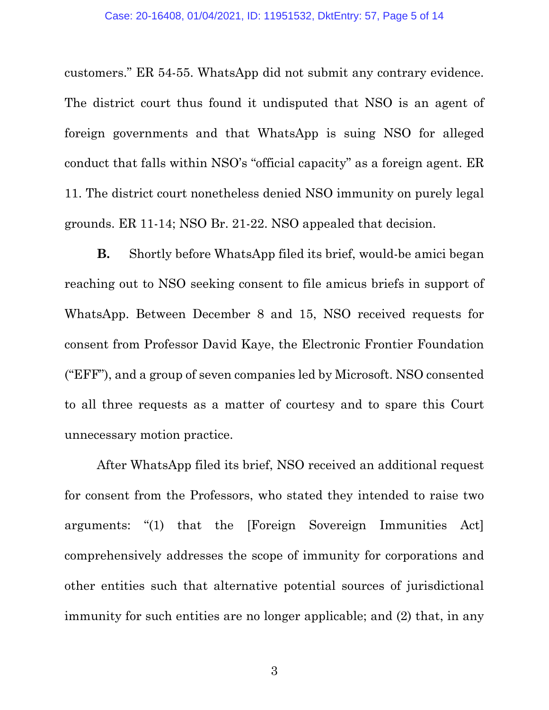customers." ER 54-55. WhatsApp did not submit any contrary evidence. The district court thus found it undisputed that NSO is an agent of foreign governments and that WhatsApp is suing NSO for alleged conduct that falls within NSO's "official capacity" as a foreign agent. ER 11. The district court nonetheless denied NSO immunity on purely legal grounds. ER 11-14; NSO Br. 21-22. NSO appealed that decision.

**B.** Shortly before WhatsApp filed its brief, would-be amici began reaching out to NSO seeking consent to file amicus briefs in support of WhatsApp. Between December 8 and 15, NSO received requests for consent from Professor David Kaye, the Electronic Frontier Foundation ("EFF"), and a group of seven companies led by Microsoft. NSO consented to all three requests as a matter of courtesy and to spare this Court unnecessary motion practice.

After WhatsApp filed its brief, NSO received an additional request for consent from the Professors, who stated they intended to raise two arguments: "(1) that the [Foreign Sovereign Immunities Act] comprehensively addresses the scope of immunity for corporations and other entities such that alternative potential sources of jurisdictional immunity for such entities are no longer applicable; and (2) that, in any

3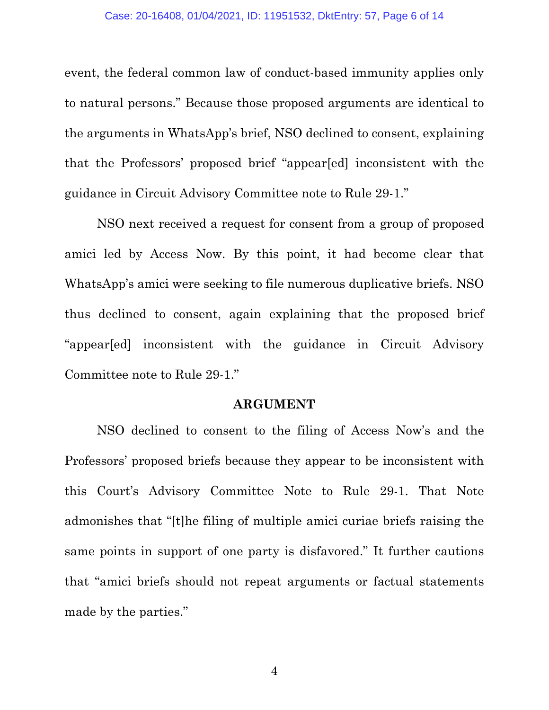event, the federal common law of conduct-based immunity applies only to natural persons." Because those proposed arguments are identical to the arguments in WhatsApp's brief, NSO declined to consent, explaining that the Professors' proposed brief "appear[ed] inconsistent with the guidance in Circuit Advisory Committee note to Rule 29-1."

NSO next received a request for consent from a group of proposed amici led by Access Now. By this point, it had become clear that WhatsApp's amici were seeking to file numerous duplicative briefs. NSO thus declined to consent, again explaining that the proposed brief "appear[ed] inconsistent with the guidance in Circuit Advisory Committee note to Rule 29-1."

#### **ARGUMENT**

<span id="page-5-0"></span>NSO declined to consent to the filing of Access Now's and the Professors' proposed briefs because they appear to be inconsistent with this Court's Advisory Committee Note to Rule 29-1. That Note admonishes that "[t]he filing of multiple amici curiae briefs raising the same points in support of one party is disfavored." It further cautions that "amici briefs should not repeat arguments or factual statements made by the parties."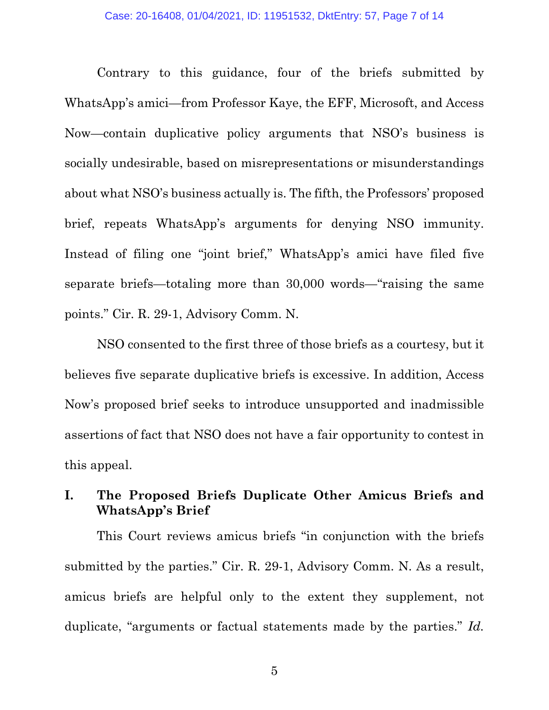Contrary to this guidance, four of the briefs submitted by WhatsApp's amici—from Professor Kaye, the EFF, Microsoft, and Access Now—contain duplicative policy arguments that NSO's business is socially undesirable, based on misrepresentations or misunderstandings about what NSO's business actually is. The fifth, the Professors' proposed brief, repeats WhatsApp's arguments for denying NSO immunity. Instead of filing one "joint brief," WhatsApp's amici have filed five separate briefs—totaling more than 30,000 words—"raising the same points." Cir. R. 29-1, Advisory Comm. N.

NSO consented to the first three of those briefs as a courtesy, but it believes five separate duplicative briefs is excessive. In addition, Access Now's proposed brief seeks to introduce unsupported and inadmissible assertions of fact that NSO does not have a fair opportunity to contest in this appeal.

## <span id="page-6-0"></span>**I. The Proposed Briefs Duplicate Other Amicus Briefs and WhatsApp's Brief**

This Court reviews amicus briefs "in conjunction with the briefs submitted by the parties." Cir. R. 29-1, Advisory Comm. N. As a result, amicus briefs are helpful only to the extent they supplement, not duplicate, "arguments or factual statements made by the parties." *Id.*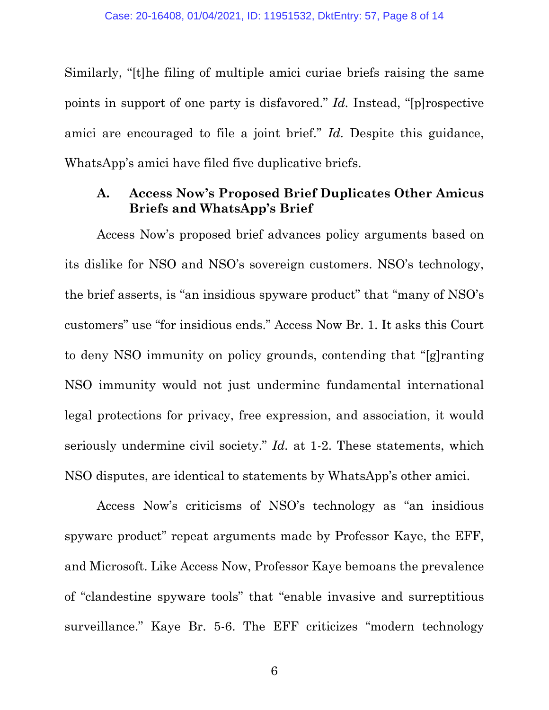Similarly, "[t]he filing of multiple amici curiae briefs raising the same points in support of one party is disfavored." *Id.* Instead, "[p]rospective amici are encouraged to file a joint brief." *Id.* Despite this guidance, WhatsApp's amici have filed five duplicative briefs.

## <span id="page-7-0"></span>**A. Access Now's Proposed Brief Duplicates Other Amicus Briefs and WhatsApp's Brief**

Access Now's proposed brief advances policy arguments based on its dislike for NSO and NSO's sovereign customers. NSO's technology, the brief asserts, is "an insidious spyware product" that "many of NSO's customers" use "for insidious ends." Access Now Br. 1. It asks this Court to deny NSO immunity on policy grounds, contending that "[g]ranting NSO immunity would not just undermine fundamental international legal protections for privacy, free expression, and association, it would seriously undermine civil society." *Id.* at 1-2. These statements, which NSO disputes, are identical to statements by WhatsApp's other amici.

Access Now's criticisms of NSO's technology as "an insidious spyware product" repeat arguments made by Professor Kaye, the EFF, and Microsoft. Like Access Now, Professor Kaye bemoans the prevalence of "clandestine spyware tools" that "enable invasive and surreptitious surveillance." Kaye Br. 5-6. The EFF criticizes "modern technology

6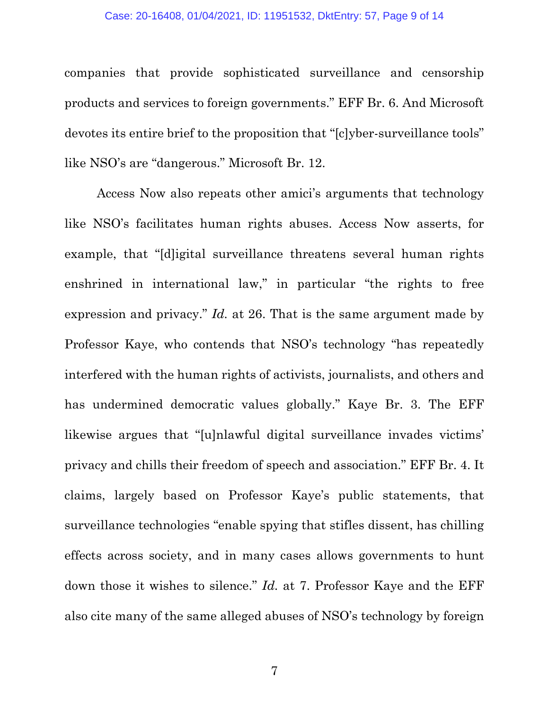#### Case: 20-16408, 01/04/2021, ID: 11951532, DktEntry: 57, Page 9 of 14

companies that provide sophisticated surveillance and censorship products and services to foreign governments." EFF Br. 6. And Microsoft devotes its entire brief to the proposition that "[c]yber-surveillance tools" like NSO's are "dangerous." Microsoft Br. 12.

Access Now also repeats other amici's arguments that technology like NSO's facilitates human rights abuses. Access Now asserts, for example, that "[d]igital surveillance threatens several human rights enshrined in international law," in particular "the rights to free expression and privacy." *Id.* at 26. That is the same argument made by Professor Kaye, who contends that NSO's technology "has repeatedly interfered with the human rights of activists, journalists, and others and has undermined democratic values globally." Kaye Br. 3. The EFF likewise argues that "[u]nlawful digital surveillance invades victims' privacy and chills their freedom of speech and association." EFF Br. 4. It claims, largely based on Professor Kaye's public statements, that surveillance technologies "enable spying that stifles dissent, has chilling effects across society, and in many cases allows governments to hunt down those it wishes to silence." *Id.* at 7. Professor Kaye and the EFF also cite many of the same alleged abuses of NSO's technology by foreign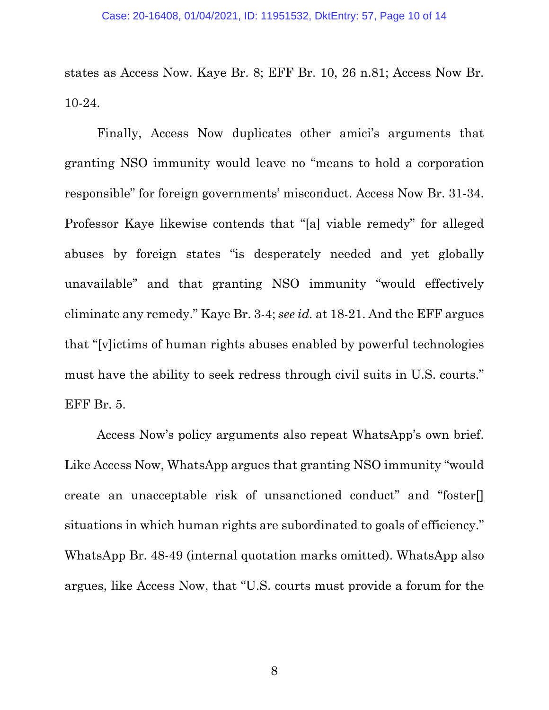states as Access Now. Kaye Br. 8; EFF Br. 10, 26 n.81; Access Now Br. 10-24.

Finally, Access Now duplicates other amici's arguments that granting NSO immunity would leave no "means to hold a corporation responsible" for foreign governments' misconduct. Access Now Br. 31-34. Professor Kaye likewise contends that "[a] viable remedy" for alleged abuses by foreign states "is desperately needed and yet globally unavailable" and that granting NSO immunity "would effectively eliminate any remedy." Kaye Br. 3-4; *see id.* at 18-21. And the EFF argues that "[v]ictims of human rights abuses enabled by powerful technologies must have the ability to seek redress through civil suits in U.S. courts." EFF Br. 5.

Access Now's policy arguments also repeat WhatsApp's own brief. Like Access Now, WhatsApp argues that granting NSO immunity "would create an unacceptable risk of unsanctioned conduct" and "foster[] situations in which human rights are subordinated to goals of efficiency." WhatsApp Br. 48-49 (internal quotation marks omitted). WhatsApp also argues, like Access Now, that "U.S. courts must provide a forum for the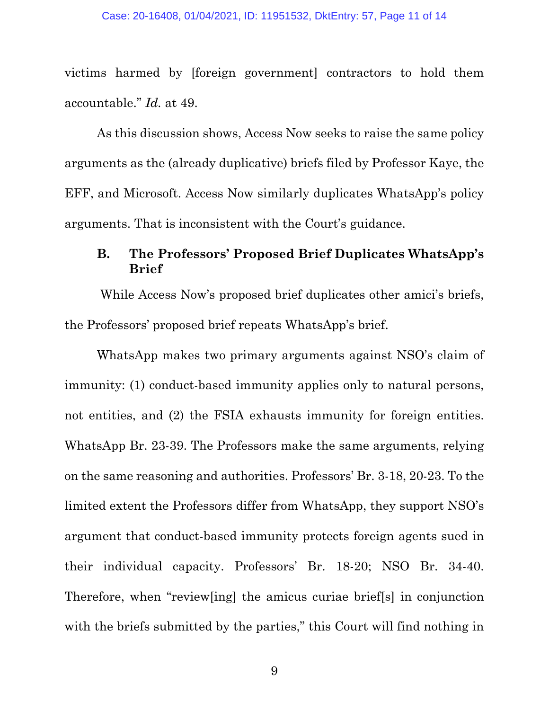victims harmed by [foreign government] contractors to hold them accountable." *Id.* at 49.

As this discussion shows, Access Now seeks to raise the same policy arguments as the (already duplicative) briefs filed by Professor Kaye, the EFF, and Microsoft. Access Now similarly duplicates WhatsApp's policy arguments. That is inconsistent with the Court's guidance.

### <span id="page-10-0"></span>**B. The Professors' Proposed Brief Duplicates WhatsApp's Brief**

While Access Now's proposed brief duplicates other amici's briefs, the Professors' proposed brief repeats WhatsApp's brief.

WhatsApp makes two primary arguments against NSO's claim of immunity: (1) conduct-based immunity applies only to natural persons, not entities, and (2) the FSIA exhausts immunity for foreign entities. WhatsApp Br. 23-39. The Professors make the same arguments, relying on the same reasoning and authorities. Professors' Br. 3-18, 20-23. To the limited extent the Professors differ from WhatsApp, they support NSO's argument that conduct-based immunity protects foreign agents sued in their individual capacity. Professors' Br. 18-20; NSO Br. 34-40. Therefore, when "review[ing] the amicus curiae brief[s] in conjunction with the briefs submitted by the parties," this Court will find nothing in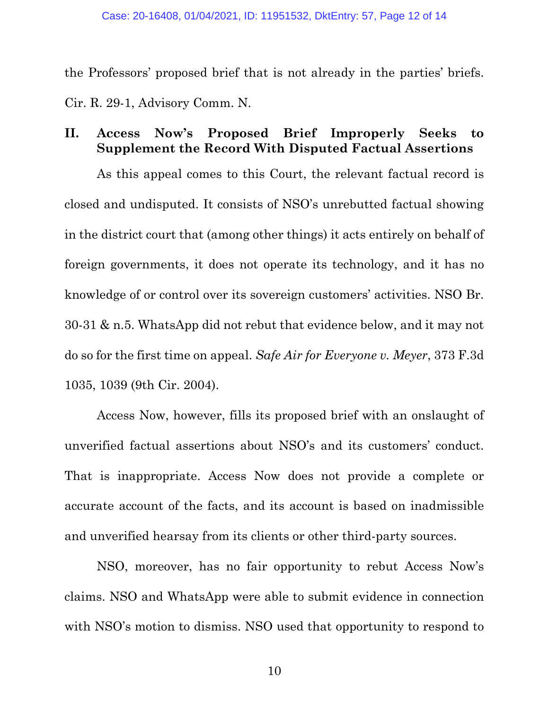the Professors' proposed brief that is not already in the parties' briefs. Cir. R. 29-1, Advisory Comm. N.

## <span id="page-11-0"></span>**II. Access Now's Proposed Brief Improperly Seeks to Supplement the Record With Disputed Factual Assertions**

As this appeal comes to this Court, the relevant factual record is closed and undisputed. It consists of NSO's unrebutted factual showing in the district court that (among other things) it acts entirely on behalf of foreign governments, it does not operate its technology, and it has no knowledge of or control over its sovereign customers' activities. NSO Br. 30-31 & n.5. WhatsApp did not rebut that evidence below, and it may not do so for the first time on appeal. *Safe Air for Everyone v. Meyer*, 373 F.3d 1035, 1039 (9th Cir. 2004).

Access Now, however, fills its proposed brief with an onslaught of unverified factual assertions about NSO's and its customers' conduct. That is inappropriate. Access Now does not provide a complete or accurate account of the facts, and its account is based on inadmissible and unverified hearsay from its clients or other third-party sources.

NSO, moreover, has no fair opportunity to rebut Access Now's claims. NSO and WhatsApp were able to submit evidence in connection with NSO's motion to dismiss. NSO used that opportunity to respond to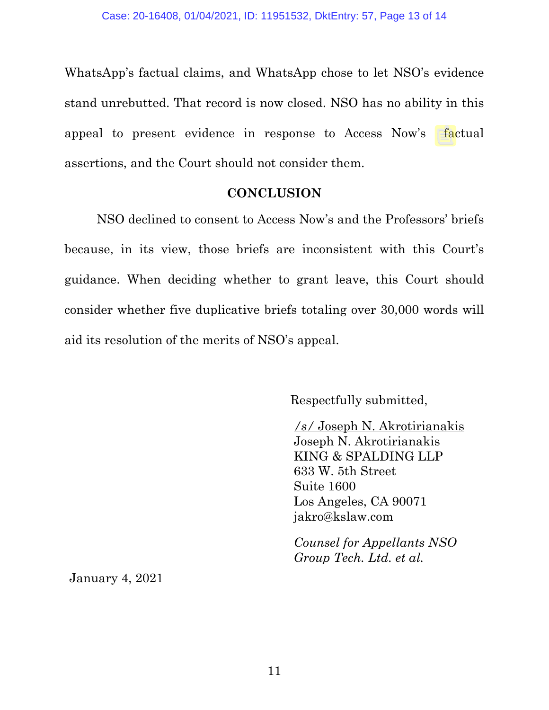WhatsApp's factual claims, and WhatsApp chose to let NSO's evidence stand unrebutted. That record is now closed. NSO has no ability in this appeal to present evidence in response to Access Now's factual assertions, and the Court should not consider them.

#### **CONCLUSION**

<span id="page-12-0"></span>NSO declined to consent to Access Now's and the Professors' briefs because, in its view, those briefs are inconsistent with this Court's guidance. When deciding whether to grant leave, this Court should consider whether five duplicative briefs totaling over 30,000 words will aid its resolution of the merits of NSO's appeal.

Respectfully submitted,

*/s/* Joseph N. Akrotirianakis Joseph N. Akrotirianakis KING & SPALDING LLP 633 W. 5th Street Suite 1600 Los Angeles, CA 90071 jakro@kslaw.com

*Counsel for Appellants NSO Group Tech. Ltd. et al.* 

January 4, 2021